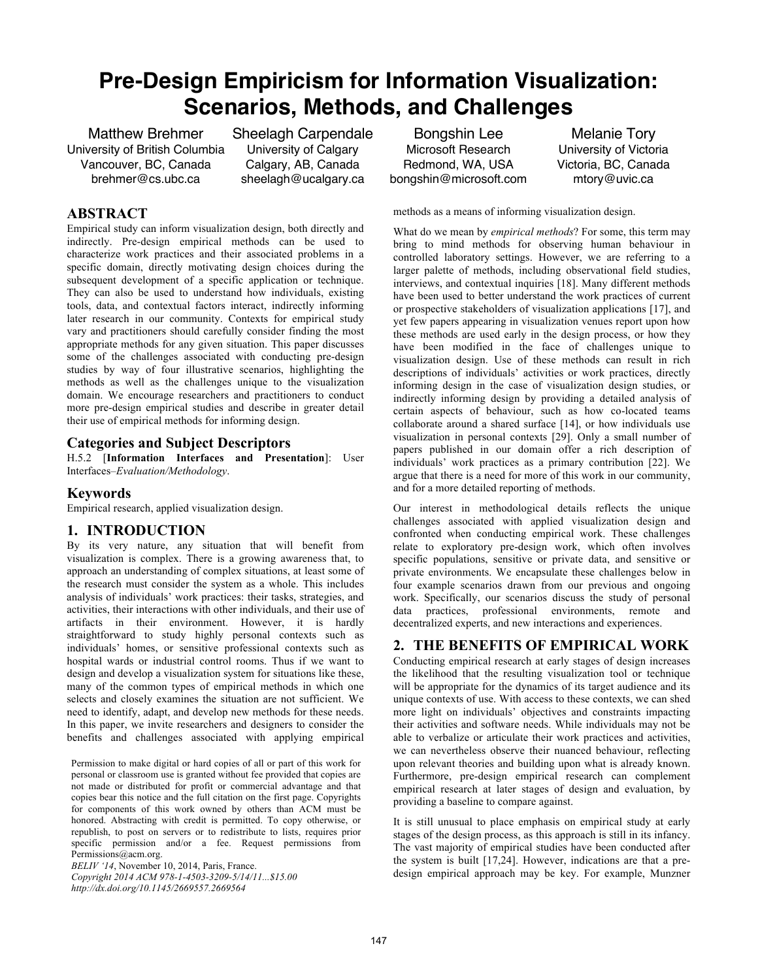# **Pre-Design Empiricism for Information Visualization: Scenarios, Methods, and Challenges**

Matthew Brehmer University of British Columbia Vancouver, BC, Canada brehmer@cs.ubc.ca

Sheelagh Carpendale University of Calgary Calgary, AB, Canada sheelagh@ucalgary.ca

# **ABSTRACT**

Empirical study can inform visualization design, both directly and indirectly. Pre-design empirical methods can be used to characterize work practices and their associated problems in a specific domain, directly motivating design choices during the subsequent development of a specific application or technique. They can also be used to understand how individuals, existing tools, data, and contextual factors interact, indirectly informing later research in our community. Contexts for empirical study vary and practitioners should carefully consider finding the most appropriate methods for any given situation. This paper discusses some of the challenges associated with conducting pre-design studies by way of four illustrative scenarios, highlighting the methods as well as the challenges unique to the visualization domain. We encourage researchers and practitioners to conduct more pre-design empirical studies and describe in greater detail their use of empirical methods for informing design.

#### **Categories and Subject Descriptors**

H.5.2 [**Information Interfaces and Presentation**]: User Interfaces–*Evaluation/Methodology*.

#### **Keywords**

Empirical research, applied visualization design.

#### **1. INTRODUCTION**

By its very nature, any situation that will benefit from visualization is complex. There is a growing awareness that, to approach an understanding of complex situations, at least some of the research must consider the system as a whole. This includes analysis of individuals' work practices: their tasks, strategies, and activities, their interactions with other individuals, and their use of artifacts in their environment. However, it is hardly straightforward to study highly personal contexts such as individuals' homes, or sensitive professional contexts such as hospital wards or industrial control rooms. Thus if we want to design and develop a visualization system for situations like these, many of the common types of empirical methods in which one selects and closely examines the situation are not sufficient. We need to identify, adapt, and develop new methods for these needs. In this paper, we invite researchers and designers to consider the benefits and challenges associated with applying empirical

Permission to make digital or hard copies of all or part of this work for personal or classroom use is granted without fee provided that copies are not made or distributed for profit or commercial advantage and that copies bear this notice and the full citation on the first page. Copyrights for components of this work owned by others than ACM must be honored. Abstracting with credit is permitted. To copy otherwise, or republish, to post on servers or to redistribute to lists, requires prior specific permission and/or a fee. Request permissions from Permissions@acm.org.

*BELIV '14*, November 10, 2014, Paris, France. *Copyright 2014 ACM 978-1-4503-3209-5/14/11...\$15.00 http://dx.doi.org/10.1145/2669557.2669564*

Bongshin Lee Microsoft Research Redmond, WA, USA bongshin@microsoft.com

Melanie Tory University of Victoria Victoria, BC, Canada mtory@uvic.ca

methods as a means of informing visualization design.

What do we mean by *empirical methods*? For some, this term may bring to mind methods for observing human behaviour in controlled laboratory settings. However, we are referring to a larger palette of methods, including observational field studies, interviews, and contextual inquiries [18]. Many different methods have been used to better understand the work practices of current or prospective stakeholders of visualization applications [17], and yet few papers appearing in visualization venues report upon how these methods are used early in the design process, or how they have been modified in the face of challenges unique to visualization design. Use of these methods can result in rich descriptions of individuals' activities or work practices, directly informing design in the case of visualization design studies, or indirectly informing design by providing a detailed analysis of certain aspects of behaviour, such as how co-located teams collaborate around a shared surface [14], or how individuals use visualization in personal contexts [29]. Only a small number of papers published in our domain offer a rich description of individuals' work practices as a primary contribution [22]. We argue that there is a need for more of this work in our community, and for a more detailed reporting of methods.

Our interest in methodological details reflects the unique challenges associated with applied visualization design and confronted when conducting empirical work. These challenges relate to exploratory pre-design work, which often involves specific populations, sensitive or private data, and sensitive or private environments. We encapsulate these challenges below in four example scenarios drawn from our previous and ongoing work. Specifically, our scenarios discuss the study of personal data practices, professional environments, remote and decentralized experts, and new interactions and experiences.

### **2. THE BENEFITS OF EMPIRICAL WORK**

Conducting empirical research at early stages of design increases the likelihood that the resulting visualization tool or technique will be appropriate for the dynamics of its target audience and its unique contexts of use. With access to these contexts, we can shed more light on individuals' objectives and constraints impacting their activities and software needs. While individuals may not be able to verbalize or articulate their work practices and activities, we can nevertheless observe their nuanced behaviour, reflecting upon relevant theories and building upon what is already known. Furthermore, pre-design empirical research can complement empirical research at later stages of design and evaluation, by providing a baseline to compare against.

It is still unusual to place emphasis on empirical study at early stages of the design process, as this approach is still in its infancy. The vast majority of empirical studies have been conducted after the system is built [17,24]. However, indications are that a predesign empirical approach may be key. For example, Munzner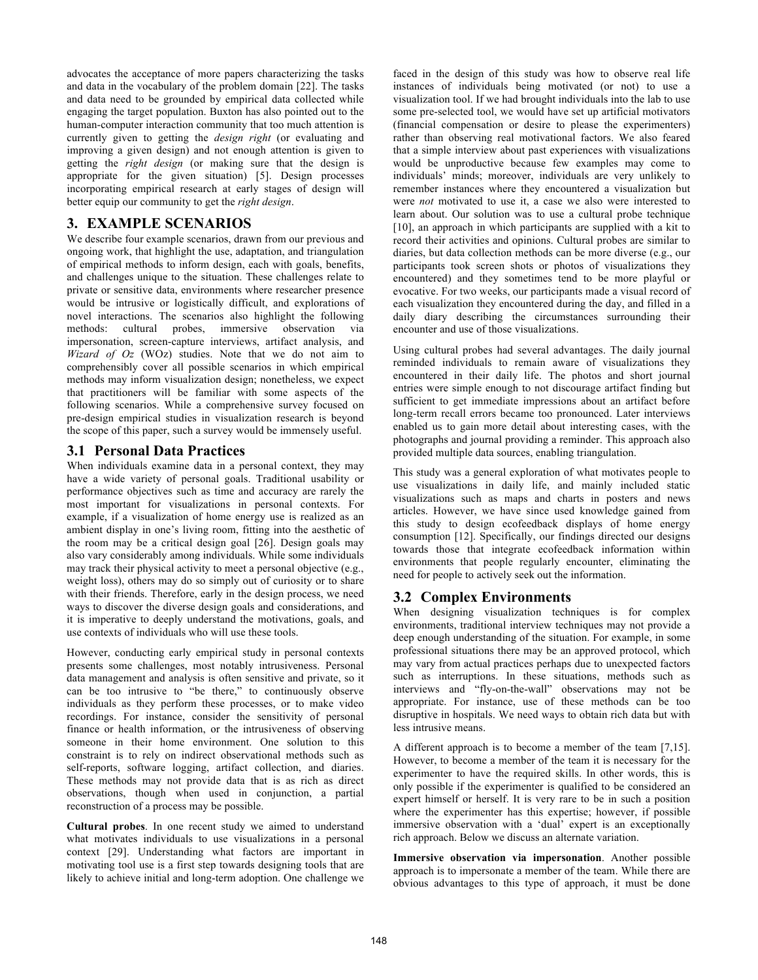advocates the acceptance of more papers characterizing the tasks and data in the vocabulary of the problem domain [22]. The tasks and data need to be grounded by empirical data collected while engaging the target population. Buxton has also pointed out to the human-computer interaction community that too much attention is currently given to getting the *design right* (or evaluating and improving a given design) and not enough attention is given to getting the *right design* (or making sure that the design is appropriate for the given situation) [5]. Design processes incorporating empirical research at early stages of design will better equip our community to get the *right design*.

# **3. EXAMPLE SCENARIOS**

We describe four example scenarios, drawn from our previous and ongoing work, that highlight the use, adaptation, and triangulation of empirical methods to inform design, each with goals, benefits, and challenges unique to the situation. These challenges relate to private or sensitive data, environments where researcher presence would be intrusive or logistically difficult, and explorations of novel interactions. The scenarios also highlight the following methods: cultural probes, immersive observation via impersonation, screen-capture interviews, artifact analysis, and *Wizard of Oz* (WOz) studies. Note that we do not aim to comprehensibly cover all possible scenarios in which empirical methods may inform visualization design; nonetheless, we expect that practitioners will be familiar with some aspects of the following scenarios. While a comprehensive survey focused on pre-design empirical studies in visualization research is beyond the scope of this paper, such a survey would be immensely useful.

### **3.1 Personal Data Practices**

When individuals examine data in a personal context, they may have a wide variety of personal goals. Traditional usability or performance objectives such as time and accuracy are rarely the most important for visualizations in personal contexts. For example, if a visualization of home energy use is realized as an ambient display in one's living room, fitting into the aesthetic of the room may be a critical design goal [26]. Design goals may also vary considerably among individuals. While some individuals may track their physical activity to meet a personal objective (e.g., weight loss), others may do so simply out of curiosity or to share with their friends. Therefore, early in the design process, we need ways to discover the diverse design goals and considerations, and it is imperative to deeply understand the motivations, goals, and use contexts of individuals who will use these tools.

However, conducting early empirical study in personal contexts presents some challenges, most notably intrusiveness. Personal data management and analysis is often sensitive and private, so it can be too intrusive to "be there," to continuously observe individuals as they perform these processes, or to make video recordings. For instance, consider the sensitivity of personal finance or health information, or the intrusiveness of observing someone in their home environment. One solution to this constraint is to rely on indirect observational methods such as self-reports, software logging, artifact collection, and diaries. These methods may not provide data that is as rich as direct observations, though when used in conjunction, a partial reconstruction of a process may be possible.

**Cultural probes**. In one recent study we aimed to understand what motivates individuals to use visualizations in a personal context [29]. Understanding what factors are important in motivating tool use is a first step towards designing tools that are likely to achieve initial and long-term adoption. One challenge we

faced in the design of this study was how to observe real life instances of individuals being motivated (or not) to use a visualization tool. If we had brought individuals into the lab to use some pre-selected tool, we would have set up artificial motivators (financial compensation or desire to please the experimenters) rather than observing real motivational factors. We also feared that a simple interview about past experiences with visualizations would be unproductive because few examples may come to individuals' minds; moreover, individuals are very unlikely to remember instances where they encountered a visualization but were *not* motivated to use it, a case we also were interested to learn about. Our solution was to use a cultural probe technique [10], an approach in which participants are supplied with a kit to record their activities and opinions. Cultural probes are similar to diaries, but data collection methods can be more diverse (e.g., our participants took screen shots or photos of visualizations they encountered) and they sometimes tend to be more playful or evocative. For two weeks, our participants made a visual record of each visualization they encountered during the day, and filled in a daily diary describing the circumstances surrounding their encounter and use of those visualizations.

Using cultural probes had several advantages. The daily journal reminded individuals to remain aware of visualizations they encountered in their daily life. The photos and short journal entries were simple enough to not discourage artifact finding but sufficient to get immediate impressions about an artifact before long-term recall errors became too pronounced. Later interviews enabled us to gain more detail about interesting cases, with the photographs and journal providing a reminder. This approach also provided multiple data sources, enabling triangulation.

This study was a general exploration of what motivates people to use visualizations in daily life, and mainly included static visualizations such as maps and charts in posters and news articles. However, we have since used knowledge gained from this study to design ecofeedback displays of home energy consumption [12]. Specifically, our findings directed our designs towards those that integrate ecofeedback information within environments that people regularly encounter, eliminating the need for people to actively seek out the information.

### **3.2 Complex Environments**

When designing visualization techniques is for complex environments, traditional interview techniques may not provide a deep enough understanding of the situation. For example, in some professional situations there may be an approved protocol, which may vary from actual practices perhaps due to unexpected factors such as interruptions. In these situations, methods such as interviews and "fly-on-the-wall" observations may not be appropriate. For instance, use of these methods can be too disruptive in hospitals. We need ways to obtain rich data but with less intrusive means.

A different approach is to become a member of the team [7,15]. However, to become a member of the team it is necessary for the experimenter to have the required skills. In other words, this is only possible if the experimenter is qualified to be considered an expert himself or herself. It is very rare to be in such a position where the experimenter has this expertise; however, if possible immersive observation with a 'dual' expert is an exceptionally rich approach. Below we discuss an alternate variation.

**Immersive observation via impersonation**. Another possible approach is to impersonate a member of the team. While there are obvious advantages to this type of approach, it must be done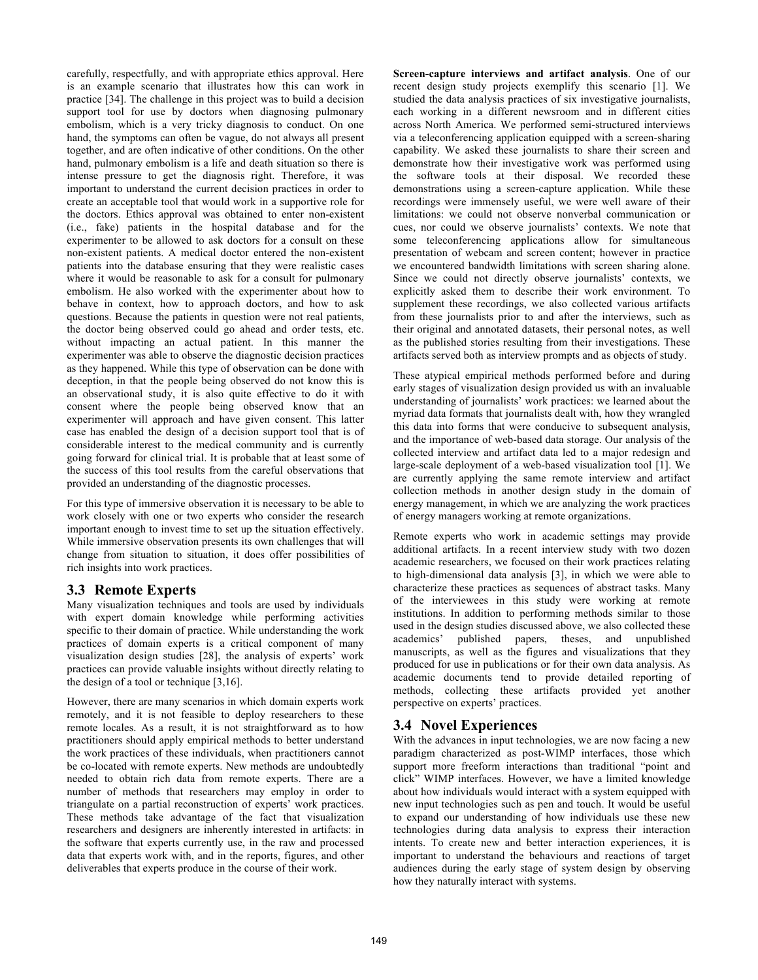carefully, respectfully, and with appropriate ethics approval. Here is an example scenario that illustrates how this can work in practice [34]. The challenge in this project was to build a decision support tool for use by doctors when diagnosing pulmonary embolism, which is a very tricky diagnosis to conduct. On one hand, the symptoms can often be vague, do not always all present together, and are often indicative of other conditions. On the other hand, pulmonary embolism is a life and death situation so there is intense pressure to get the diagnosis right. Therefore, it was important to understand the current decision practices in order to create an acceptable tool that would work in a supportive role for the doctors. Ethics approval was obtained to enter non-existent (i.e., fake) patients in the hospital database and for the experimenter to be allowed to ask doctors for a consult on these non-existent patients. A medical doctor entered the non-existent patients into the database ensuring that they were realistic cases where it would be reasonable to ask for a consult for pulmonary embolism. He also worked with the experimenter about how to behave in context, how to approach doctors, and how to ask questions. Because the patients in question were not real patients, the doctor being observed could go ahead and order tests, etc. without impacting an actual patient. In this manner the experimenter was able to observe the diagnostic decision practices as they happened. While this type of observation can be done with deception, in that the people being observed do not know this is an observational study, it is also quite effective to do it with consent where the people being observed know that an experimenter will approach and have given consent. This latter case has enabled the design of a decision support tool that is of considerable interest to the medical community and is currently going forward for clinical trial. It is probable that at least some of the success of this tool results from the careful observations that provided an understanding of the diagnostic processes.

For this type of immersive observation it is necessary to be able to work closely with one or two experts who consider the research important enough to invest time to set up the situation effectively. While immersive observation presents its own challenges that will change from situation to situation, it does offer possibilities of rich insights into work practices.

#### **3.3 Remote Experts**

Many visualization techniques and tools are used by individuals with expert domain knowledge while performing activities specific to their domain of practice. While understanding the work practices of domain experts is a critical component of many visualization design studies [28], the analysis of experts' work practices can provide valuable insights without directly relating to the design of a tool or technique [3,16].

However, there are many scenarios in which domain experts work remotely, and it is not feasible to deploy researchers to these remote locales. As a result, it is not straightforward as to how practitioners should apply empirical methods to better understand the work practices of these individuals, when practitioners cannot be co-located with remote experts. New methods are undoubtedly needed to obtain rich data from remote experts. There are a number of methods that researchers may employ in order to triangulate on a partial reconstruction of experts' work practices. These methods take advantage of the fact that visualization researchers and designers are inherently interested in artifacts: in the software that experts currently use, in the raw and processed data that experts work with, and in the reports, figures, and other deliverables that experts produce in the course of their work.

**Screen-capture interviews and artifact analysis**. One of our recent design study projects exemplify this scenario [1]. We studied the data analysis practices of six investigative journalists, each working in a different newsroom and in different cities across North America. We performed semi-structured interviews via a teleconferencing application equipped with a screen-sharing capability. We asked these journalists to share their screen and demonstrate how their investigative work was performed using the software tools at their disposal. We recorded these demonstrations using a screen-capture application. While these recordings were immensely useful, we were well aware of their limitations: we could not observe nonverbal communication or cues, nor could we observe journalists' contexts. We note that some teleconferencing applications allow for simultaneous presentation of webcam and screen content; however in practice we encountered bandwidth limitations with screen sharing alone. Since we could not directly observe journalists' contexts, we explicitly asked them to describe their work environment. To supplement these recordings, we also collected various artifacts from these journalists prior to and after the interviews, such as their original and annotated datasets, their personal notes, as well as the published stories resulting from their investigations. These artifacts served both as interview prompts and as objects of study.

These atypical empirical methods performed before and during early stages of visualization design provided us with an invaluable understanding of journalists' work practices: we learned about the myriad data formats that journalists dealt with, how they wrangled this data into forms that were conducive to subsequent analysis, and the importance of web-based data storage. Our analysis of the collected interview and artifact data led to a major redesign and large-scale deployment of a web-based visualization tool [1]. We are currently applying the same remote interview and artifact collection methods in another design study in the domain of energy management, in which we are analyzing the work practices of energy managers working at remote organizations.

Remote experts who work in academic settings may provide additional artifacts. In a recent interview study with two dozen academic researchers, we focused on their work practices relating to high-dimensional data analysis [3], in which we were able to characterize these practices as sequences of abstract tasks. Many of the interviewees in this study were working at remote institutions. In addition to performing methods similar to those used in the design studies discussed above, we also collected these academics' published papers, theses, and unpublished manuscripts, as well as the figures and visualizations that they produced for use in publications or for their own data analysis. As academic documents tend to provide detailed reporting of methods, collecting these artifacts provided yet another perspective on experts' practices.

# **3.4 Novel Experiences**

With the advances in input technologies, we are now facing a new paradigm characterized as post-WIMP interfaces, those which support more freeform interactions than traditional "point and click" WIMP interfaces. However, we have a limited knowledge about how individuals would interact with a system equipped with new input technologies such as pen and touch. It would be useful to expand our understanding of how individuals use these new technologies during data analysis to express their interaction intents. To create new and better interaction experiences, it is important to understand the behaviours and reactions of target audiences during the early stage of system design by observing how they naturally interact with systems.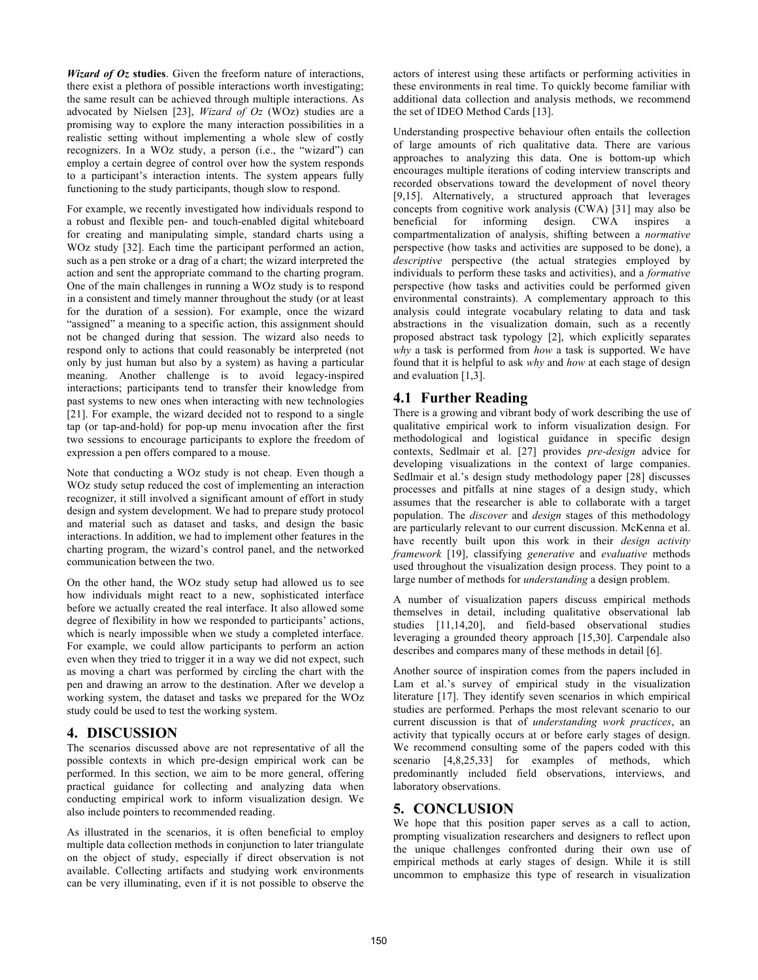*Wizard of Oz* **studies**. Given the freeform nature of interactions, there exist a plethora of possible interactions worth investigating; the same result can be achieved through multiple interactions. As advocated by Nielsen [23], *Wizard of Oz* (WOz) studies are a promising way to explore the many interaction possibilities in a realistic setting without implementing a whole slew of costly recognizers. In a WOz study, a person (i.e., the "wizard") can employ a certain degree of control over how the system responds to a participant's interaction intents. The system appears fully functioning to the study participants, though slow to respond.

For example, we recently investigated how individuals respond to a robust and flexible pen- and touch-enabled digital whiteboard for creating and manipulating simple, standard charts using a WOz study [32]. Each time the participant performed an action, such as a pen stroke or a drag of a chart; the wizard interpreted the action and sent the appropriate command to the charting program. One of the main challenges in running a WOz study is to respond in a consistent and timely manner throughout the study (or at least for the duration of a session). For example, once the wizard "assigned" a meaning to a specific action, this assignment should not be changed during that session. The wizard also needs to respond only to actions that could reasonably be interpreted (not only by just human but also by a system) as having a particular meaning. Another challenge is to avoid legacy-inspired interactions; participants tend to transfer their knowledge from past systems to new ones when interacting with new technologies [21]. For example, the wizard decided not to respond to a single tap (or tap-and-hold) for pop-up menu invocation after the first two sessions to encourage participants to explore the freedom of expression a pen offers compared to a mouse.

Note that conducting a WOz study is not cheap. Even though a WOz study setup reduced the cost of implementing an interaction recognizer, it still involved a significant amount of effort in study design and system development. We had to prepare study protocol and material such as dataset and tasks, and design the basic interactions. In addition, we had to implement other features in the charting program, the wizard's control panel, and the networked communication between the two.

On the other hand, the WOz study setup had allowed us to see how individuals might react to a new, sophisticated interface before we actually created the real interface. It also allowed some degree of flexibility in how we responded to participants' actions, which is nearly impossible when we study a completed interface. For example, we could allow participants to perform an action even when they tried to trigger it in a way we did not expect, such as moving a chart was performed by circling the chart with the pen and drawing an arrow to the destination. After we develop a working system, the dataset and tasks we prepared for the WOz study could be used to test the working system.

### **4. DISCUSSION**

The scenarios discussed above are not representative of all the possible contexts in which pre-design empirical work can be performed. In this section, we aim to be more general, offering practical guidance for collecting and analyzing data when conducting empirical work to inform visualization design. We also include pointers to recommended reading.

As illustrated in the scenarios, it is often beneficial to employ multiple data collection methods in conjunction to later triangulate on the object of study, especially if direct observation is not available. Collecting artifacts and studying work environments can be very illuminating, even if it is not possible to observe the actors of interest using these artifacts or performing activities in these environments in real time. To quickly become familiar with additional data collection and analysis methods, we recommend the set of IDEO Method Cards [13].

Understanding prospective behaviour often entails the collection of large amounts of rich qualitative data. There are various approaches to analyzing this data. One is bottom-up which encourages multiple iterations of coding interview transcripts and recorded observations toward the development of novel theory [9,15]. Alternatively, a structured approach that leverages concepts from cognitive work analysis (CWA) [31] may also be beneficial for informing design. CWA inspires compartmentalization of analysis, shifting between a *normative* perspective (how tasks and activities are supposed to be done), a *descriptive* perspective (the actual strategies employed by individuals to perform these tasks and activities), and a *formative* perspective (how tasks and activities could be performed given environmental constraints). A complementary approach to this analysis could integrate vocabulary relating to data and task abstractions in the visualization domain, such as a recently proposed abstract task typology [2], which explicitly separates *why* a task is performed from *how* a task is supported. We have found that it is helpful to ask *why* and *how* at each stage of design and evaluation [1,3].

# **4.1 Further Reading**

There is a growing and vibrant body of work describing the use of qualitative empirical work to inform visualization design. For methodological and logistical guidance in specific design contexts, Sedlmair et al. [27] provides *pre-design* advice for developing visualizations in the context of large companies. Sedlmair et al.'s design study methodology paper [28] discusses processes and pitfalls at nine stages of a design study, which assumes that the researcher is able to collaborate with a target population. The *discover* and *design* stages of this methodology are particularly relevant to our current discussion. McKenna et al. have recently built upon this work in their *design activity framework* [19], classifying *generative* and *evaluative* methods used throughout the visualization design process. They point to a large number of methods for *understanding* a design problem.

A number of visualization papers discuss empirical methods themselves in detail, including qualitative observational lab studies [11,14,20], and field-based observational studies leveraging a grounded theory approach [15,30]. Carpendale also describes and compares many of these methods in detail [6].

Another source of inspiration comes from the papers included in Lam et al.'s survey of empirical study in the visualization literature [17]. They identify seven scenarios in which empirical studies are performed. Perhaps the most relevant scenario to our current discussion is that of *understanding work practices*, an activity that typically occurs at or before early stages of design. We recommend consulting some of the papers coded with this scenario [4,8,25,33] for examples of methods, which predominantly included field observations, interviews, and laboratory observations.

# **5. CONCLUSION**

We hope that this position paper serves as a call to action, prompting visualization researchers and designers to reflect upon the unique challenges confronted during their own use of empirical methods at early stages of design. While it is still uncommon to emphasize this type of research in visualization